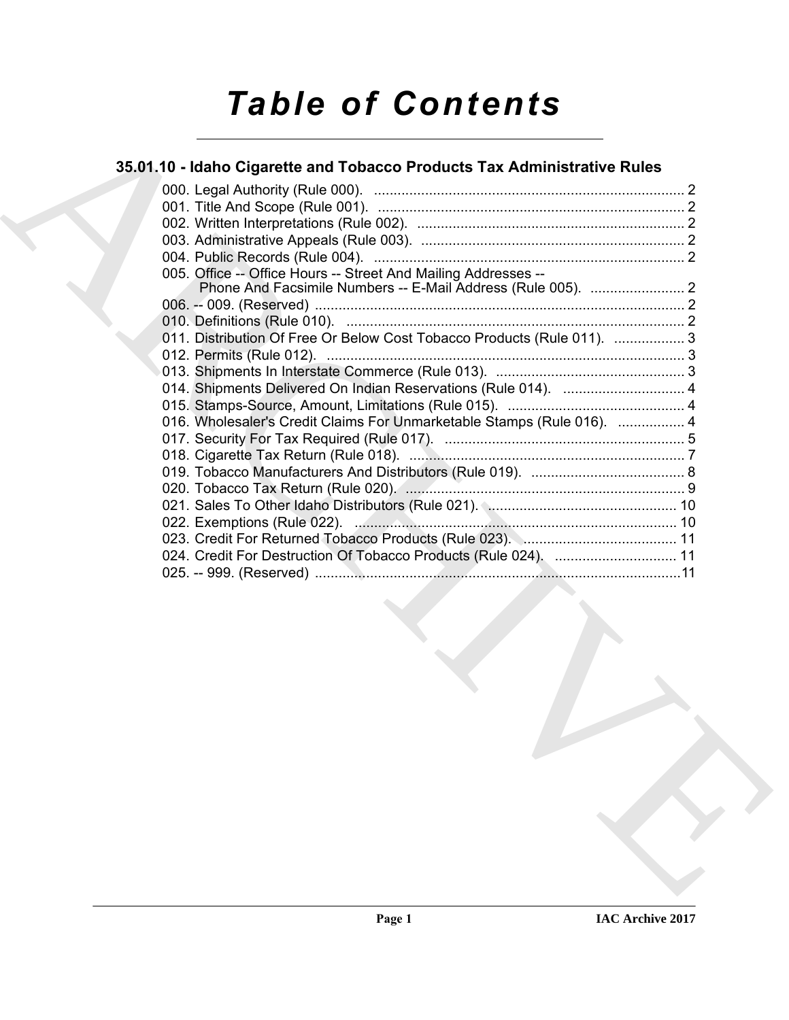# *Table of Contents*

## **35.01.10 - Idaho Cigarette and Tobacco Products Tax Administrative Rules**

| 005. Office -- Office Hours -- Street And Mailing Addresses --<br>011. Distribution Of Free Or Below Cost Tobacco Products (Rule 011).  3<br>016. Wholesaler's Credit Claims For Unmarketable Stamps (Rule 016).  4<br>023. Credit For Returned Tobacco Products (Rule 023). \\\ \\ \ \ \ \ \ \ \ \ \ \ 11<br>024. Credit For Destruction Of Tobacco Products (Rule 024).  11 |  |  |
|-------------------------------------------------------------------------------------------------------------------------------------------------------------------------------------------------------------------------------------------------------------------------------------------------------------------------------------------------------------------------------|--|--|
|                                                                                                                                                                                                                                                                                                                                                                               |  |  |
|                                                                                                                                                                                                                                                                                                                                                                               |  |  |
|                                                                                                                                                                                                                                                                                                                                                                               |  |  |
|                                                                                                                                                                                                                                                                                                                                                                               |  |  |
|                                                                                                                                                                                                                                                                                                                                                                               |  |  |
|                                                                                                                                                                                                                                                                                                                                                                               |  |  |
|                                                                                                                                                                                                                                                                                                                                                                               |  |  |
|                                                                                                                                                                                                                                                                                                                                                                               |  |  |
|                                                                                                                                                                                                                                                                                                                                                                               |  |  |
|                                                                                                                                                                                                                                                                                                                                                                               |  |  |
|                                                                                                                                                                                                                                                                                                                                                                               |  |  |
|                                                                                                                                                                                                                                                                                                                                                                               |  |  |
|                                                                                                                                                                                                                                                                                                                                                                               |  |  |
|                                                                                                                                                                                                                                                                                                                                                                               |  |  |
|                                                                                                                                                                                                                                                                                                                                                                               |  |  |
|                                                                                                                                                                                                                                                                                                                                                                               |  |  |
|                                                                                                                                                                                                                                                                                                                                                                               |  |  |
|                                                                                                                                                                                                                                                                                                                                                                               |  |  |
|                                                                                                                                                                                                                                                                                                                                                                               |  |  |
|                                                                                                                                                                                                                                                                                                                                                                               |  |  |
|                                                                                                                                                                                                                                                                                                                                                                               |  |  |
|                                                                                                                                                                                                                                                                                                                                                                               |  |  |
|                                                                                                                                                                                                                                                                                                                                                                               |  |  |
|                                                                                                                                                                                                                                                                                                                                                                               |  |  |
|                                                                                                                                                                                                                                                                                                                                                                               |  |  |
|                                                                                                                                                                                                                                                                                                                                                                               |  |  |
|                                                                                                                                                                                                                                                                                                                                                                               |  |  |
|                                                                                                                                                                                                                                                                                                                                                                               |  |  |
|                                                                                                                                                                                                                                                                                                                                                                               |  |  |
|                                                                                                                                                                                                                                                                                                                                                                               |  |  |
|                                                                                                                                                                                                                                                                                                                                                                               |  |  |
|                                                                                                                                                                                                                                                                                                                                                                               |  |  |
|                                                                                                                                                                                                                                                                                                                                                                               |  |  |
|                                                                                                                                                                                                                                                                                                                                                                               |  |  |
|                                                                                                                                                                                                                                                                                                                                                                               |  |  |
|                                                                                                                                                                                                                                                                                                                                                                               |  |  |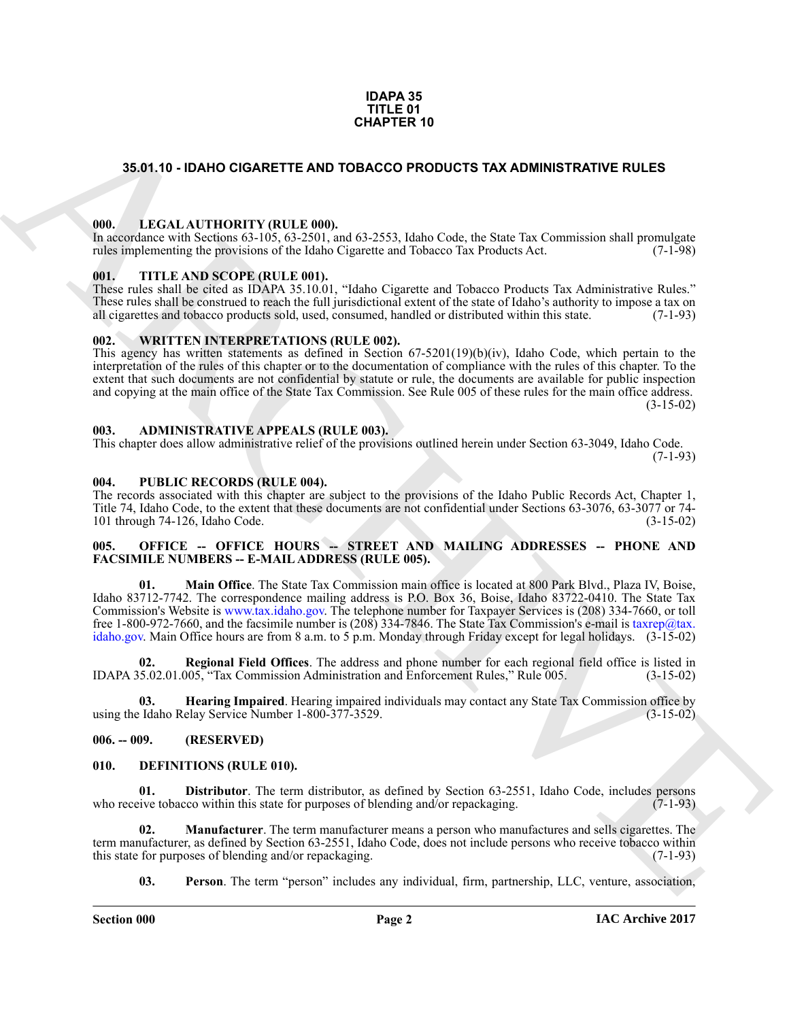#### **IDAPA 35 TITLE 01 CHAPTER 10**

#### <span id="page-1-0"></span>**35.01.10 - IDAHO CIGARETTE AND TOBACCO PRODUCTS TAX ADMINISTRATIVE RULES**

#### <span id="page-1-1"></span>**000. LEGAL AUTHORITY (RULE 000).**

In accordance with Sections 63-105, 63-2501, and 63-2553, Idaho Code, the State Tax Commission shall promulgate rules implementing the provisions of the Idaho Cigarette and Tobacco Tax Products Act. (7-1-98) rules implementing the provisions of the Idaho Cigarette and Tobacco Tax Products Act.

#### <span id="page-1-2"></span>**001. TITLE AND SCOPE (RULE 001).**

These rules shall be cited as IDAPA 35.10.01, "Idaho Cigarette and Tobacco Products Tax Administrative Rules." These rules shall be construed to reach the full jurisdictional extent of the state of Idaho's authority to impose a tax on all cigarettes and tobacco products sold, used, consumed, handled or distributed within this state all cigarettes and tobacco products sold, used, consumed, handled or distributed within this state.

#### <span id="page-1-3"></span>**002. WRITTEN INTERPRETATIONS (RULE 002).**

This agency has written statements as defined in Section 67-5201(19)(b)(iv), Idaho Code, which pertain to the interpretation of the rules of this chapter or to the documentation of compliance with the rules of this chapter. To the extent that such documents are not confidential by statute or rule, the documents are available for public inspection and copying at the main office of the State Tax Commission. See Rule 005 of these rules for the main office address.  $(3-15-02)$ 

#### <span id="page-1-4"></span>**003. ADMINISTRATIVE APPEALS (RULE 003).**

This chapter does allow administrative relief of the provisions outlined herein under Section 63-3049, Idaho Code.  $(7-1-93)$ 

#### <span id="page-1-5"></span>**004. PUBLIC RECORDS (RULE 004).**

The records associated with this chapter are subject to the provisions of the Idaho Public Records Act, Chapter 1, Title 74, Idaho Code, to the extent that these documents are not confidential under Sections 63-3076, 63-3077 or 74-<br>101 through 74-126, Idaho Code. (3-15-02) 101 through  $74-126$ , Idaho Code.

#### <span id="page-1-6"></span>005. OFFICE -- OFFICE HOURS -- STREET AND MAILING ADDRESSES -- PHONE AND **FACSIMILE NUMBERS -- E-MAIL ADDRESS (RULE 005).**

**SARI 10 - IDANO CIGARETTE AND TORACCO PRODUCTS TAX ADMINISTRATI[V](mailto:taxrep@tax. idaho.gov)E RULES<br>
100.** LEGAL ALTITORITY (RULE 600).<br>
T[H](http://www.tax.idaho.gov)E ARCHIVEST VIRULE 600.<br>
THE ARCHIVEST VIRULE 600.<br>
100. THE ARCHISCOPY RULE 800.<br>
100. THE ARCHISCOPY RULE 8 **01. Main Office**. The State Tax Commission main office is located at 800 Park Blvd., Plaza IV, Boise, Idaho 83712-7742. The correspondence mailing address is P.O. Box 36, Boise, Idaho 83722-0410. The State Tax Commission's Website is www.tax.idaho.gov. The telephone number for Taxpayer Services is (208) 334-7660, or toll free 1-800-972-7660, and the facsimile number is (208) 334-7846. The State Tax Commission's e-mail is taxrep@tax. idaho.gov. Main Office hours are from 8 a.m. to 5 p.m. Monday through Friday except for legal holidays. (3-15-02)

**02. Regional Field Offices**. The address and phone number for each regional field office is listed in IDAPA 35.02.01.005, "Tax Commission Administration and Enforcement Rules," Rule 005. (3-15-02)

**Hearing Impaired**. Hearing impaired individuals may contact any State Tax Commission office by elay Service Number 1-800-377-3529. using the Idaho Relay Service Number 1-800-377-3529.

#### <span id="page-1-7"></span>**006. -- 009. (RESERVED)**

#### <span id="page-1-9"></span><span id="page-1-8"></span>**010. DEFINITIONS (RULE 010).**

<span id="page-1-10"></span>**01. Distributor**. The term distributor, as defined by Section 63-2551, Idaho Code, includes persons who receive tobacco within this state for purposes of blending and/or repackaging. (7-1-93)

**02. Manufacturer**. The term manufacturer means a person who manufactures and sells cigarettes. The term manufacturer, as defined by Section 63-2551, Idaho Code, does not include persons who receive tobacco within<br>this state for purposes of blending and/or repackaging this state for purposes of blending and/or repackaging.

<span id="page-1-12"></span><span id="page-1-11"></span>**03. Person**. The term "person" includes any individual, firm, partnership, LLC, venture, association,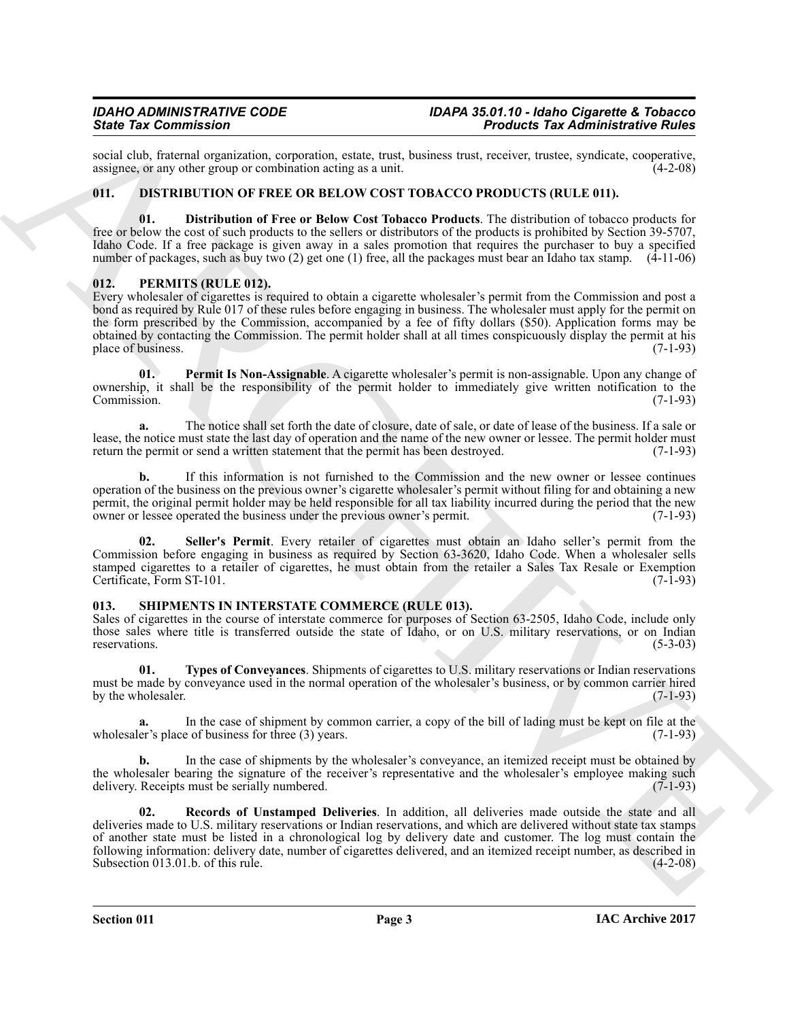social club, fraternal organization, corporation, estate, trust, business trust, receiver, trustee, syndicate, cooperative, assignee, or any other group or combination acting as a unit. assignee, or any other group or combination acting as a unit.

### <span id="page-2-3"></span><span id="page-2-0"></span>**011. DISTRIBUTION OF FREE OR BELOW COST TOBACCO PRODUCTS (RULE 011).**

<span id="page-2-4"></span>**01. Distribution of Free or Below Cost Tobacco Products**. The distribution of tobacco products for free or below the cost of such products to the sellers or distributors of the products is prohibited by Section 39-5707, Idaho Code. If a free package is given away in a sales promotion that requires the purchaser to buy a specified number of packages, such as buy two (2) get one (1) free, all the packages must bear an Idaho tax stamp. (4-11-06)

### <span id="page-2-5"></span><span id="page-2-1"></span>**012. PERMITS (RULE 012).**

Since Tax definition that the computation continues and the same of the same of the same of the same of the same of the same of the same of the same of the same of the same of the same of the same of the same of the same Every wholesaler of cigarettes is required to obtain a cigarette wholesaler's permit from the Commission and post a bond as required by Rule 017 of these rules before engaging in business. The wholesaler must apply for the permit on the form prescribed by the Commission, accompanied by a fee of fifty dollars (\$50). Application forms may be obtained by contacting the Commission. The permit holder shall at all times conspicuously display the permit at his place of business.  $(7-1-93)$ 

<span id="page-2-6"></span>**01. Permit Is Non-Assignable**. A cigarette wholesaler's permit is non-assignable. Upon any change of ownership, it shall be the responsibility of the permit holder to immediately give written notification to the Commission. (7-1-93)

**a.** The notice shall set forth the date of closure, date of sale, or date of lease of the business. If a sale or lease, the notice must state the last day of operation and the name of the new owner or lessee. The permit holder must return the permit or send a written statement that the permit has been destroyed. (7-1-93)

**b.** If this information is not furnished to the Commission and the new owner or lessee continues operation of the business on the previous owner's cigarette wholesaler's permit without filing for and obtaining a new permit, the original permit holder may be held responsible for all tax liability incurred during the period that the new owner or lessee operated the business under the previous owner's permit. (7-1-93) owner or lessee operated the business under the previous owner's permit.

<span id="page-2-7"></span>**02. Seller's Permit**. Every retailer of cigarettes must obtain an Idaho seller's permit from the Commission before engaging in business as required by Section 63-3620, Idaho Code. When a wholesaler sells stamped cigarettes to a retailer of cigarettes, he must obtain from the retailer a Sales Tax Resale or Exemption Certificate, Form ST-101. (7-1-93)

#### <span id="page-2-8"></span><span id="page-2-2"></span>**013. SHIPMENTS IN INTERSTATE COMMERCE (RULE 013).**

Sales of cigarettes in the course of interstate commerce for purposes of Section 63-2505, Idaho Code, include only those sales where title is transferred outside the state of Idaho, or on U.S. military reservations, or on Indian reservations. (5-3-03)

<span id="page-2-10"></span>**01. Types of Conveyances**. Shipments of cigarettes to U.S. military reservations or Indian reservations must be made by conveyance used in the normal operation of the wholesaler's business, or by common carrier hired by the wholesaler.  $(7-1-93)$ 

**a.** In the case of shipment by common carrier, a copy of the bill of lading must be kept on file at the er's place of business for three (3) years. (7-1-93) wholesaler's place of business for three  $(3)$  years.

**b.** In the case of shipments by the wholesaler's conveyance, an itemized receipt must be obtained by the wholesaler bearing the signature of the receiver's representative and the wholesaler's employee making such delivery. Receipts must be serially numbered. (7-1-93) delivery. Receipts must be serially numbered.

<span id="page-2-9"></span>**02. Records of Unstamped Deliveries**. In addition, all deliveries made outside the state and all deliveries made to U.S. military reservations or Indian reservations, and which are delivered without state tax stamps of another state must be listed in a chronological log by delivery date and customer. The log must contain the following information: delivery date, number of cigarettes delivered, and an itemized receipt number, as described in Subsection 013.01.b. of this rule.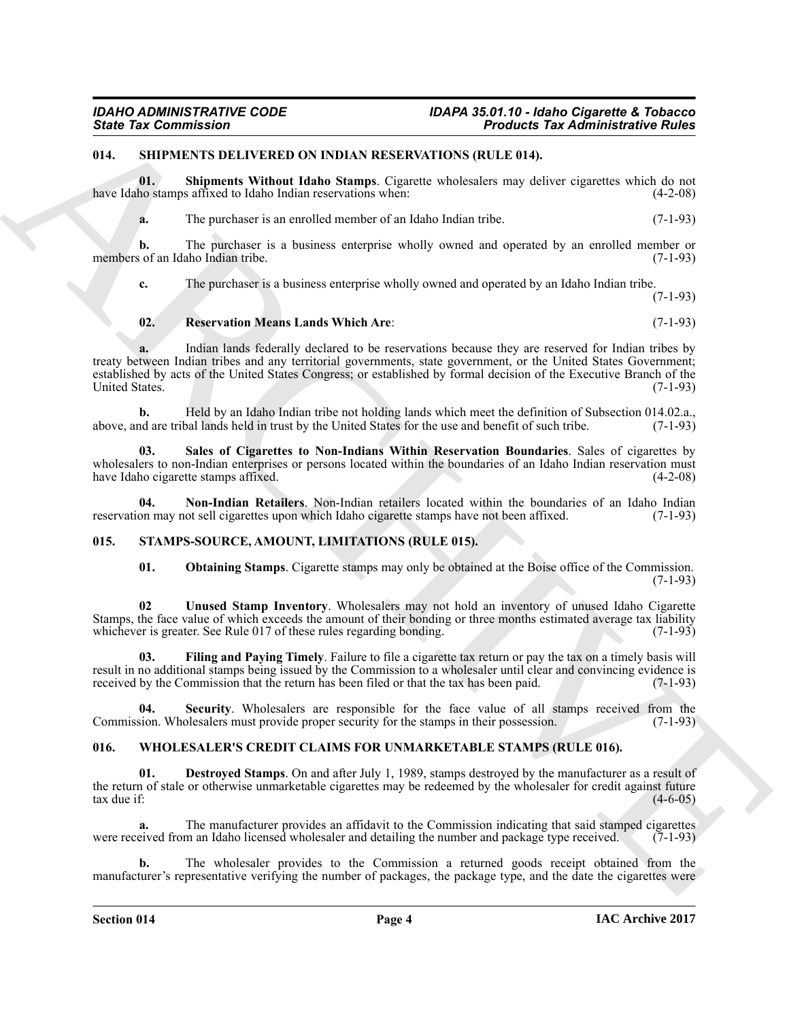#### <span id="page-3-3"></span><span id="page-3-0"></span>**014. SHIPMENTS DELIVERED ON INDIAN RESERVATIONS (RULE 014).**

**01. Shipments Without Idaho Stamps**. Cigarette wholesalers may deliver cigarettes which do not have Idaho stamps affixed to Idaho Indian reservations when: (4-2-08)

<span id="page-3-7"></span>**a.** The purchaser is an enrolled member of an Idaho Indian tribe. (7-1-93)

**b.** The purchaser is a business enterprise wholly owned and operated by an enrolled member or of an Idaho Indian tribe. (7-1-93) members of an Idaho Indian tribe.

**c.** The purchaser is a business enterprise wholly owned and operated by an Idaho Indian tribe.

(7-1-93)

#### <span id="page-3-5"></span>**02. Reservation Means Lands Which Are**: (7-1-93)

Since Tax Commission<br>
U.S. SILVER AND UNIVERSIDENTIES UNIVERSIDENTIES CONTINUES IN A CONSUMERATION CONTINUES IN A SUBSCRIPTION OF A CONSULTANT CONTINUES IN A CONSULTANT CONTINUES IN A CONSULTANT CONTINUES IN A CONSULTANT **a.** Indian lands federally declared to be reservations because they are reserved for Indian tribes by treaty between Indian tribes and any territorial governments, state government, or the United States Government; established by acts of the United States Congress; or established by formal decision of the Executive Branch of the United States. (7-1-93)

**b.** Held by an Idaho Indian tribe not holding lands which meet the definition of Subsection 014.02.a., hold are tribal lands held in trust by the United States for the use and benefit of such tribe. (7-1-93) above, and are tribal lands held in trust by the United States for the use and benefit of such tribe.

<span id="page-3-6"></span>**03. Sales of Cigarettes to Non-Indians Within Reservation Boundaries**. Sales of cigarettes by wholesalers to non-Indian enterprises or persons located within the boundaries of an Idaho Indian reservation must<br>have Idaho cigarette stamps affixed. (4-2-08) have Idaho cigarette stamps affixed.

**04.** Non-Indian Retailers. Non-Indian retailers located within the boundaries of an Idaho Indian on may not sell cigarettes upon which Idaho cigarette stamps have not been affixed. (7-1-93) reservation may not sell cigarettes upon which Idaho cigarette stamps have not been affixed.

#### <span id="page-3-1"></span>**015. STAMPS-SOURCE, AMOUNT, LIMITATIONS (RULE 015).**

<span id="page-3-12"></span><span id="page-3-10"></span><span id="page-3-9"></span><span id="page-3-8"></span><span id="page-3-4"></span>**01. Obtaining Stamps**. Cigarette stamps may only be obtained at the Boise office of the Commission. (7-1-93)

**02 Unused Stamp Inventory**. Wholesalers may not hold an inventory of unused Idaho Cigarette Stamps, the face value of which exceeds the amount of their bonding or three months estimated average tax liability whichever is greater. See Rule 017 of these rules regarding bonding. (7-1-93) whichever is greater. See Rule 017 of these rules regarding bonding.

**03. Filing and Paying Timely**. Failure to file a cigarette tax return or pay the tax on a timely basis will result in no additional stamps being issued by the Commission to a wholesaler until clear and convincing evidence is received by the Commission that the return has been filed or that the tax has been paid. (7-1-93) received by the Commission that the return has been filed or that the tax has been paid.

<span id="page-3-11"></span>**04.** Security. Wholesalers are responsible for the face value of all stamps received from the sion. Wholesalers must provide proper security for the stamps in their possession. (7-1-93) Commission. Wholesalers must provide proper security for the stamps in their possession.

#### <span id="page-3-13"></span><span id="page-3-2"></span>**016. WHOLESALER'S CREDIT CLAIMS FOR UNMARKETABLE STAMPS (RULE 016).**

<span id="page-3-14"></span>**01. Destroyed Stamps**. On and after July 1, 1989, stamps destroyed by the manufacturer as a result of the return of stale or otherwise unmarketable cigarettes may be redeemed by the wholesaler for credit against future tax due if: (4-6-05) tax due if:  $(4-6-05)$ 

**a.** The manufacturer provides an affidavit to the Commission indicating that said stamped cigarettes eived from an Idaho licensed wholesaler and detailing the number and package type received. (7-1-93) were received from an Idaho licensed wholesaler and detailing the number and package type received.

**b.** The wholesaler provides to the Commission a returned goods receipt obtained from the manufacturer's representative verifying the number of packages, the package type, and the date the cigarettes were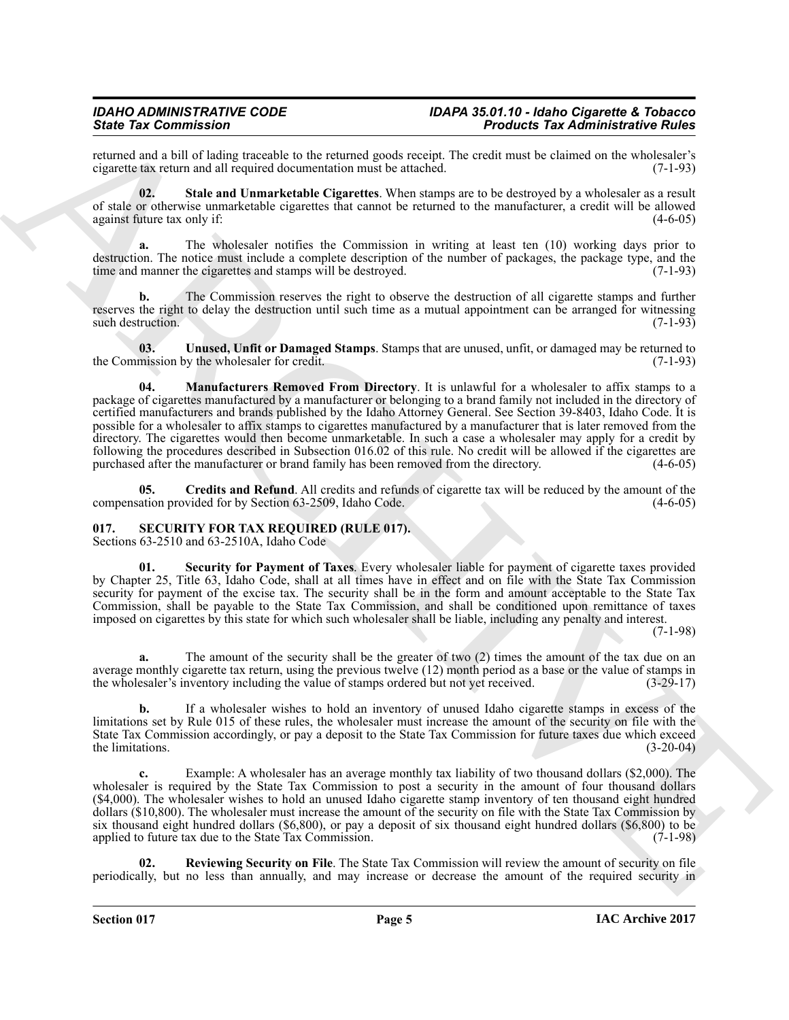returned and a bill of lading traceable to the returned goods receipt. The credit must be claimed on the wholesaler's cigarette tax return and all required documentation must be attached.

<span id="page-4-6"></span>**02. Stale and Unmarketable Cigarettes**. When stamps are to be destroyed by a wholesaler as a result of stale or otherwise unmarketable cigarettes that cannot be returned to the manufacturer, a credit will be allowed against future tax only if: (4-6-05)

**a.** The wholesaler notifies the Commission in writing at least ten (10) working days prior to destruction. The notice must include a complete description of the number of packages, the package type, and the time and manner the cigarettes and stamps will be destroyed. (7-1-93)

**b.** The Commission reserves the right to observe the destruction of all cigarette stamps and further reserves the right to delay the destruction until such time as a mutual appointment can be arranged for witnessing such destruction. (7-1-93) such destruction.

<span id="page-4-7"></span><span id="page-4-5"></span>**03.** Unused, Unfit or Damaged Stamps. Stamps that are unused, unfit, or damaged may be returned to mission by the wholesaler for credit. (7-1-93) the Commission by the wholesaler for credit.

Since Tax Commission in the relation of the relation of the relation of the relation of the relation of the relation of the relation of the relation of the relation of the relation of the relation of the relation of the r **04. Manufacturers Removed From Directory**. It is unlawful for a wholesaler to affix stamps to a package of cigarettes manufactured by a manufacturer or belonging to a brand family not included in the directory of certified manufacturers and brands published by the Idaho Attorney General. See Section 39-8403, Idaho Code. It is possible for a wholesaler to affix stamps to cigarettes manufactured by a manufacturer that is later removed from the directory. The cigarettes would then become unmarketable. In such a case a wholesaler may apply for a credit by following the procedures described in Subsection 016.02 of this rule. No credit will be allowed if the cigarettes are purchased after the manufacturer or brand family has been removed from the directory. (4-6-05)

<span id="page-4-4"></span>**05. Credits and Refund**. All credits and refunds of cigarette tax will be reduced by the amount of the compensation provided for by Section 63-2509, Idaho Code. (4-6-05)

#### <span id="page-4-1"></span><span id="page-4-0"></span>**017. SECURITY FOR TAX REQUIRED (RULE 017).**

Sections 63-2510 and 63-2510A, Idaho Code

<span id="page-4-3"></span>**Security for Payment of Taxes**. Every wholesaler liable for payment of cigarette taxes provided by Chapter 25, Title 63, Idaho Code, shall at all times have in effect and on file with the State Tax Commission security for payment of the excise tax. The security shall be in the form and amount acceptable to the State Tax Commission, shall be payable to the State Tax Commission, and shall be conditioned upon remittance of taxes imposed on cigarettes by this state for which such wholesaler shall be liable, including any penalty and interest.

(7-1-98)

**a.** The amount of the security shall be the greater of two (2) times the amount of the tax due on an average monthly cigarette tax return, using the previous twelve (12) month period as a base or the value of stamps in the wholesaler's inventory including the value of stamps ordered but not vet received. (3-29-17) the wholesaler's inventory including the value of stamps ordered but not yet received.

**b.** If a wholesaler wishes to hold an inventory of unused Idaho cigarette stamps in excess of the limitations set by Rule 015 of these rules, the wholesaler must increase the amount of the security on file with the State Tax Commission accordingly, or pay a deposit to the State Tax Commission for future taxes due which exceed the limitations. (3-20-04) the limitations.  $(3-20-04)$ 

**c.** Example: A wholesaler has an average monthly tax liability of two thousand dollars (\$2,000). The wholesaler is required by the State Tax Commission to post a security in the amount of four thousand dollars (\$4,000). The wholesaler wishes to hold an unused Idaho cigarette stamp inventory of ten thousand eight hundred dollars (\$10,800). The wholesaler must increase the amount of the security on file with the State Tax Commission by six thousand eight hundred dollars (\$6,800), or pay a deposit of six thousand eight hundred dollars (\$6,800) to be applied to future tax due to the State Tax Commission. (7-1-98) applied to future tax due to the State Tax Commission.

<span id="page-4-2"></span>**Reviewing Security on File**. The State Tax Commission will review the amount of security on file periodically, but no less than annually, and may increase or decrease the amount of the required security in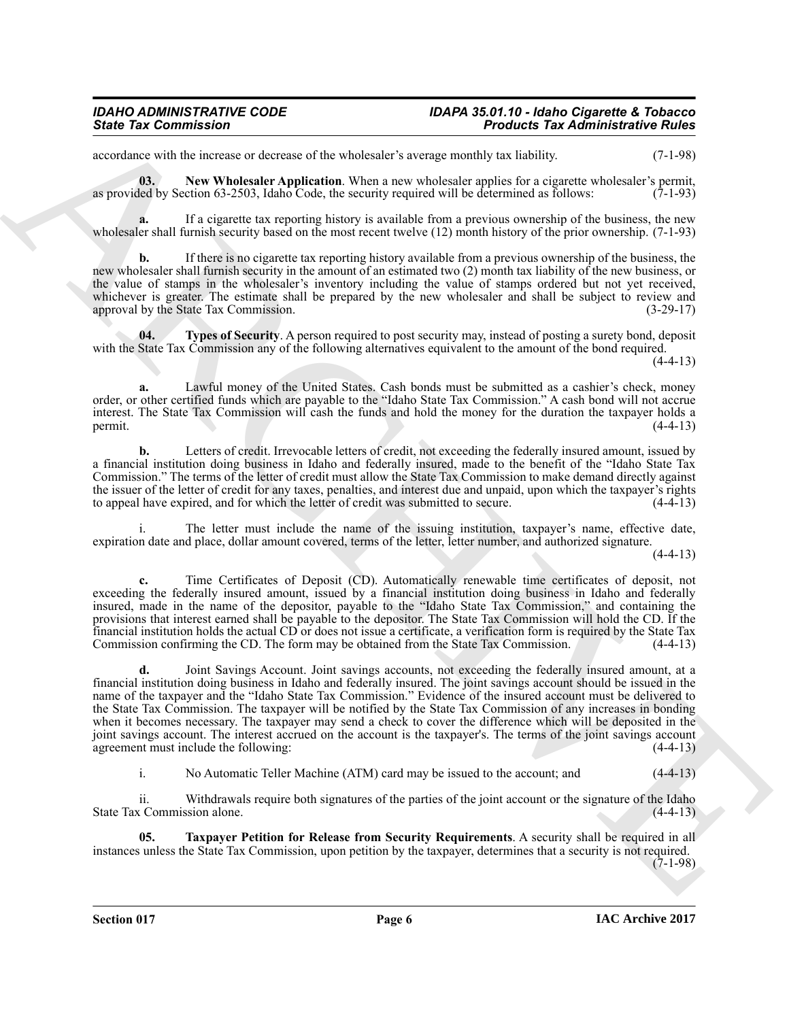#### *IDAHO ADMINISTRATIVE CODE IDAPA 35.01.10 - Idaho Cigarette & Tobacco State Tax Commission Products Tax Administrative Rules*

<span id="page-5-0"></span>accordance with the increase or decrease of the wholesaler's average monthly tax liability. (7-1-98)

**03.** New Wholesaler Application. When a new wholesaler applies for a cigarette wholesaler's permit, as provided by Section 63-2503, Idaho Code, the security required will be determined as follows: (7-1-93)

**a.** If a cigarette tax reporting history is available from a previous ownership of the business, the new wholesaler shall furnish security based on the most recent twelve (12) month history of the prior ownership. (7-1-93)

**b.** If there is no cigarette tax reporting history available from a previous ownership of the business, the new wholesaler shall furnish security in the amount of an estimated two (2) month tax liability of the new business, or the value of stamps in the wholesaler's inventory including the value of stamps ordered but not yet received, whichever is greater. The estimate shall be prepared by the new wholesaler and shall be subject to review and approval by the State Tax Commission. (3-29-17) approval by the State Tax Commission.

<span id="page-5-2"></span>**04. Types of Security**. A person required to post security may, instead of posting a surety bond, deposit with the State Tax Commission any of the following alternatives equivalent to the amount of the bond required.

 $(4-4-13)$ 

**a.** Lawful money of the United States. Cash bonds must be submitted as a cashier's check, money order, or other certified funds which are payable to the "Idaho State Tax Commission." A cash bond will not accrue interest. The State Tax Commission will cash the funds and hold the money for the duration the taxpayer holds a permit.  $(4-4-13)$ 

**b.** Letters of credit. Irrevocable letters of credit, not exceeding the federally insured amount, issued by a financial institution doing business in Idaho and federally insured, made to the benefit of the "Idaho State Tax Commission." The terms of the letter of credit must allow the State Tax Commission to make demand directly against the issuer of the letter of credit for any taxes, penalties, and interest due and unpaid, upon which the taxpayer's rights to appeal have expired, and for which the letter of credit was submitted to secure. (4-4-13) to appeal have expired, and for which the letter of credit was submitted to secure.

i. The letter must include the name of the issuing institution, taxpayer's name, effective date, expiration date and place, dollar amount covered, terms of the letter, letter number, and authorized signature.

 $(4-4-13)$ 

**c.** Time Certificates of Deposit (CD). Automatically renewable time certificates of deposit, not exceeding the federally insured amount, issued by a financial institution doing business in Idaho and federally insured, made in the name of the depositor, payable to the "Idaho State Tax Commission," and containing the provisions that interest earned shall be payable to the depositor. The State Tax Commission will hold the CD. If the financial institution holds the actual CD or does not issue a certificate, a verification form is required by the State Tax Commission confirming the CD. The form may be obtained from the State Tax Commission. (4-4-13)

Since Tax distinctions of the state of the state of the state of the state of the state of the state of the state of the state of the state of the state of the state of the state of the state of the state of the state of **d.** Joint Savings Account. Joint savings accounts, not exceeding the federally insured amount, at a financial institution doing business in Idaho and federally insured. The joint savings account should be issued in the name of the taxpayer and the "Idaho State Tax Commission." Evidence of the insured account must be delivered to the State Tax Commission. The taxpayer will be notified by the State Tax Commission of any increases in bonding when it becomes necessary. The taxpayer may send a check to cover the difference which will be deposited in the joint savings account. The interest accrued on the account is the taxpayer's. The terms of the joint savings account agreement must include the following:

<span id="page-5-1"></span>i. No Automatic Teller Machine (ATM) card may be issued to the account; and (4-4-13)

ii. Withdrawals require both signatures of the parties of the joint account or the signature of the Idaho State Tax Commission alone. (4-4-13)

**05. Taxpayer Petition for Release from Security Requirements**. A security shall be required in all instances unless the State Tax Commission, upon petition by the taxpayer, determines that a security is not required.  $(7-1-98)$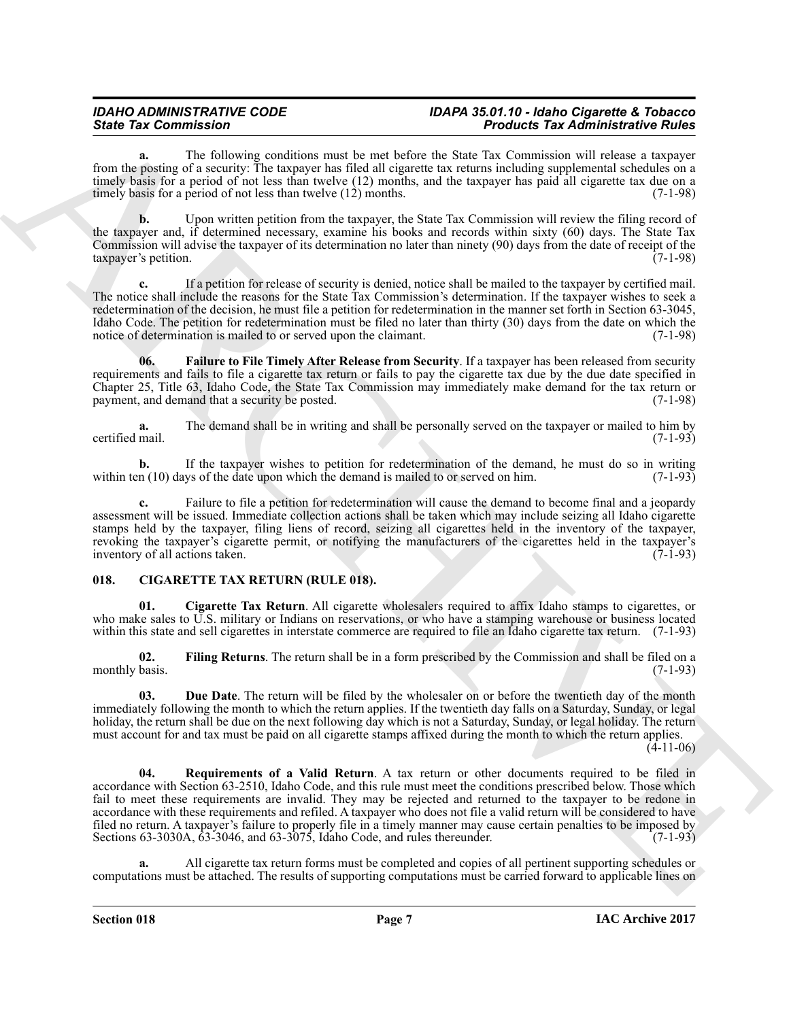#### *IDAHO ADMINISTRATIVE CODE IDAPA 35.01.10 - Idaho Cigarette & Tobacco State Tax Commission Products Tax Administrative Rules*

**a.** The following conditions must be met before the State Tax Commission will release a taxpayer from the posting of a security: The taxpayer has filed all cigarette tax returns including supplemental schedules on a timely basis for a period of not less than twelve (12) months, and the taxpayer has paid all cigarette tax due on a timely basis for a period of not less than twelve (12) months. (7-1-98)

**b.** Upon written petition from the taxpayer, the State Tax Commission will review the filing record of the taxpayer and, if determined necessary, examine his books and records within sixty (60) days. The State Tax Commission will advise the taxpayer of its determination no later than ninety (90) days from the date of receipt of the taxpayer's petition. (7-1-98)

**c.** If a petition for release of security is denied, notice shall be mailed to the taxpayer by certified mail. The notice shall include the reasons for the State Tax Commission's determination. If the taxpayer wishes to seek a redetermination of the decision, he must file a petition for redetermination in the manner set forth in Section 63-3045, Idaho Code. The petition for redetermination must be filed no later than thirty (30) days from the date on which the notice of determination is mailed to or served upon the claimant. (7-1-98)

<span id="page-6-6"></span>**06. Failure to File Timely After Release from Security**. If a taxpayer has been released from security requirements and fails to file a cigarette tax return or fails to pay the cigarette tax due by the due date specified in Chapter 25, Title 63, Idaho Code, the State Tax Commission may immediately make demand for the tax return or payment, and demand that a security be posted.

**a.** The demand shall be in writing and shall be personally served on the taxpayer or mailed to him by mail. (7-1-93) certified mail.

**b.** If the taxpayer wishes to petition for redetermination of the demand, he must do so in writing in (10) days of the date upon which the demand is mailed to or served on him. (7-1-93) within ten  $(10)$  days of the date upon which the demand is mailed to or served on him.

**c.** Failure to file a petition for redetermination will cause the demand to become final and a jeopardy assessment will be issued. Immediate collection actions shall be taken which may include seizing all Idaho cigarette stamps held by the taxpayer, filing liens of record, seizing all cigarettes held in the inventory of the taxpayer, revoking the taxpayer's cigarette permit, or notifying the manufacturers of the cigarettes held in the taxpayer's inventory of all actions taken.

#### <span id="page-6-1"></span><span id="page-6-0"></span>**018. CIGARETTE TAX RETURN (RULE 018).**

<span id="page-6-2"></span>**01. Cigarette Tax Return**. All cigarette wholesalers required to affix Idaho stamps to cigarettes, or who make sales to U.S. military or Indians on reservations, or who have a stamping warehouse or business located within this state and sell cigarettes in interstate commerce are required to file an Idaho cigarette tax return. (7-1-93)

<span id="page-6-4"></span>**02. Filing Returns**. The return shall be in a form prescribed by the Commission and shall be filed on a monthly basis.

<span id="page-6-5"></span><span id="page-6-3"></span>**03. Due Date**. The return will be filed by the wholesaler on or before the twentieth day of the month immediately following the month to which the return applies. If the twentieth day falls on a Saturday, Sunday, or legal holiday, the return shall be due on the next following day which is not a Saturday, Sunday, or legal holiday. The return must account for and tax must be paid on all cigarette stamps affixed during the month to which the return applies.

(4-11-06)

Since Tax Commutation the interest of the temperature and the since Tax Commutation Commutation of the since the since the since the since the since the since the since the since the since the since the since the since th **04. Requirements of a Valid Return**. A tax return or other documents required to be filed in accordance with Section 63-2510, Idaho Code, and this rule must meet the conditions prescribed below. Those which fail to meet these requirements are invalid. They may be rejected and returned to the taxpayer to be redone in accordance with these requirements and refiled. A taxpayer who does not file a valid return will be considered to have filed no return. A taxpayer's failure to properly file in a timely manner may cause certain penalties to be imposed by Sections 63-3030A, 63-3046, and 63-3075, Idaho Code, and rules thereunder. (7-1-93) Sections  $63-3030A$ ,  $63-3046$ , and  $63-3075$ , Idaho Code, and rules thereunder.

**a.** All cigarette tax return forms must be completed and copies of all pertinent supporting schedules or computations must be attached. The results of supporting computations must be carried forward to applicable lines on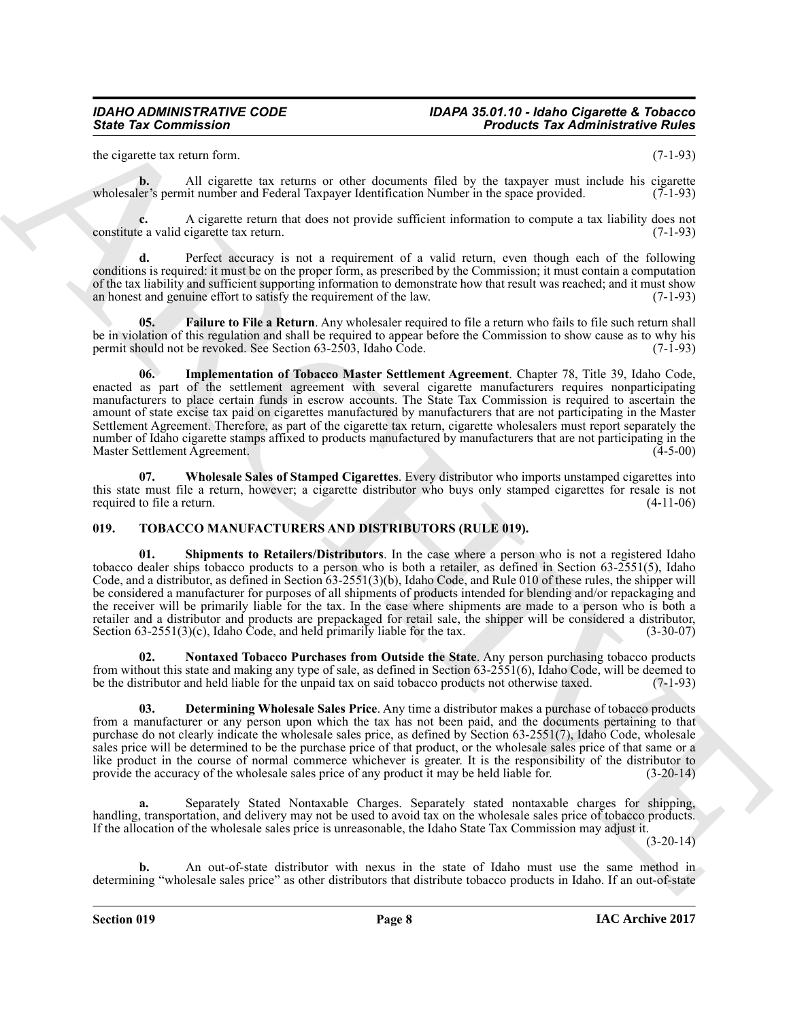#### *IDAHO ADMINISTRATIVE CODE IDAPA 35.01.10 - Idaho Cigarette & Tobacco State Tax Commission Products Tax Administrative Rules*

the cigarette tax return form. (7-1-93)

**b.** All cigarette tax returns or other documents filed by the taxpayer must include his cigarette wholesaler's permit number and Federal Taxpayer Identification Number in the space provided. (7-1-93)

**c.** A cigarette return that does not provide sufficient information to compute a tax liability does not e a valid cigarette tax return. constitute a valid cigarette tax return.

**d.** Perfect accuracy is not a requirement of a valid return, even though each of the following conditions is required: it must be on the proper form, as prescribed by the Commission; it must contain a computation of the tax liability and sufficient supporting information to demonstrate how that result was reached; and it must show an honest and genuine effort to satisfy the requirement of the law. (7-1-93)

<span id="page-7-1"></span>**Failure to File a Return**. Any wholesaler required to file a return who fails to file such return shall be in violation of this regulation and shall be required to appear before the Commission to show cause as to why his permit should not be revoked. See Section 63-2503, Idaho Code. (7-1-93) permit should not be revoked. See Section 63-2503, Idaho Code.

<span id="page-7-2"></span>**06. Implementation of Tobacco Master Settlement Agreement**. Chapter 78, Title 39, Idaho Code, enacted as part of the settlement agreement with several cigarette manufacturers requires nonparticipating manufacturers to place certain funds in escrow accounts. The State Tax Commission is required to ascertain the amount of state excise tax paid on cigarettes manufactured by manufacturers that are not participating in the Master Settlement Agreement. Therefore, as part of the cigarette tax return, cigarette wholesalers must report separately the number of Idaho cigarette stamps affixed to products manufactured by manufacturers that are not participating in the Master Settlement Agreement. (4-5-00) Master Settlement Agreement.

<span id="page-7-3"></span>**07. Wholesale Sales of Stamped Cigarettes**. Every distributor who imports unstamped cigarettes into this state must file a return, however; a cigarette distributor who buys only stamped cigarettes for resale is not required to file a return. (4-11-06)

#### <span id="page-7-7"></span><span id="page-7-4"></span><span id="page-7-0"></span>**019. TOBACCO MANUFACTURERS AND DISTRIBUTORS (RULE 019).**

Since Tax Commission<br>
In contrast the commission contrast in the state of the state of the state of the state of the state of the state of the state of the state of the state of the state of the state of the state of the **01. Shipments to Retailers/Distributors**. In the case where a person who is not a registered Idaho tobacco dealer ships tobacco products to a person who is both a retailer, as defined in Section 63-2551(5), Idaho Code, and a distributor, as defined in Section 63-2551(3)(b), Idaho Code, and Rule 010 of these rules, the shipper will be considered a manufacturer for purposes of all shipments of products intended for blending and/or repackaging and the receiver will be primarily liable for the tax. In the case where shipments are made to a person who is both a retailer and a distributor and products are prepackaged for retail sale, the shipper will be considered a distributor, Section 63-2551(3)(c), Idaho Code, and held primarily liable for the tax. (3-30-07) Section  $63-2551(3)(c)$ , Idaho Code, and held primarily liable for the tax.

<span id="page-7-6"></span>**02. Nontaxed Tobacco Purchases from Outside the State**. Any person purchasing tobacco products from without this state and making any type of sale, as defined in Section 63-2551(6), Idaho Code, will be deemed to be the distributor and held liable for the unpaid tax on said tobacco products not otherwise taxed. (7-1-93)

<span id="page-7-5"></span>**03. Determining Wholesale Sales Price**. Any time a distributor makes a purchase of tobacco products from a manufacturer or any person upon which the tax has not been paid, and the documents pertaining to that purchase do not clearly indicate the wholesale sales price, as defined by Section 63-2551(7), Idaho Code, wholesale sales price will be determined to be the purchase price of that product, or the wholesale sales price of that same or a like product in the course of normal commerce whichever is greater. It is the responsibility of the distributor to provide the accuracy of the wholesale sales price of any product it may be held liable for. (3-20-14)

**a.** Separately Stated Nontaxable Charges. Separately stated nontaxable charges for shipping, handling, transportation, and delivery may not be used to avoid tax on the wholesale sales price of tobacco products. If the allocation of the wholesale sales price is unreasonable, the Idaho State Tax Commission may adjust it.

(3-20-14)

**b.** An out-of-state distributor with nexus in the state of Idaho must use the same method in determining "wholesale sales price" as other distributors that distribute tobacco products in Idaho. If an out-of-state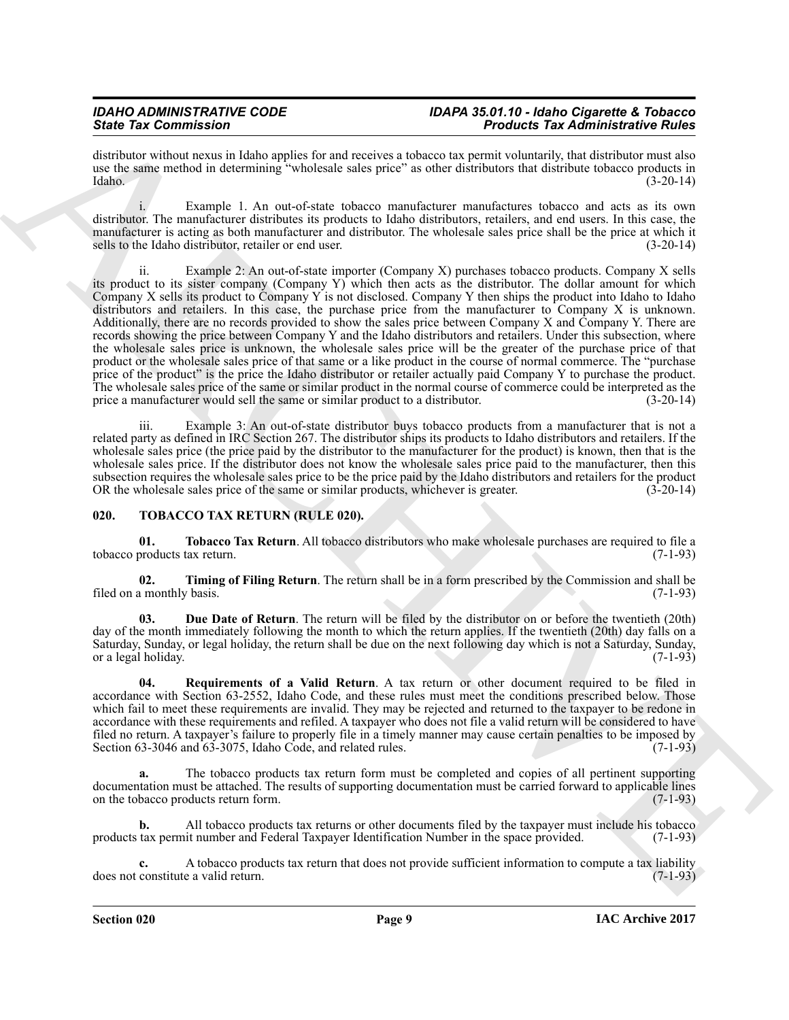#### *IDAHO ADMINISTRATIVE CODE IDAPA 35.01.10 - Idaho Cigarette & Tobacco* **Products Tax Administrative Rules**

distributor without nexus in Idaho applies for and receives a tobacco tax permit voluntarily, that distributor must also use the same method in determining "wholesale sales price" as other distributors that distribute tobacco products in Idaho. (3-20-14) Idaho. (3-20-14)

i. Example 1. An out-of-state tobacco manufacturer manufactures tobacco and acts as its own distributor. The manufacturer distributes its products to Idaho distributors, retailers, and end users. In this case, the manufacturer is acting as both manufacturer and distributor. The wholesale sales price shall be the price at which it sells to the Idaho distributor, retailer or end user. (3-20-14)

Since Tax Commission in Malaca and the same state and the same state Tax Administrative Risk and the same state and the same state and the same state and the same state and the same state and the same state and the same s Example 2: An out-of-state importer (Company X) purchases tobacco products. Company X sells its product to its sister company (Company Y) which then acts as the distributor. The dollar amount for which Company X sells its product to Company Y is not disclosed. Company Y then ships the product into Idaho to Idaho distributors and retailers. In this case, the purchase price from the manufacturer to Company X is unknown. Additionally, there are no records provided to show the sales price between Company X and Company Y. There are records showing the price between Company Y and the Idaho distributors and retailers. Under this subsection, where the wholesale sales price is unknown, the wholesale sales price will be the greater of the purchase price of that product or the wholesale sales price of that same or a like product in the course of normal commerce. The "purchase price of the product" is the price the Idaho distributor or retailer actually paid Company Y to purchase the product. The wholesale sales price of the same or similar product in the normal course of commerce could be interpreted as the price a manufacturer would sell the same or similar product to a distributor. (3-20-14)

iii. Example 3: An out-of-state distributor buys tobacco products from a manufacturer that is not a related party as defined in IRC Section 267. The distributor ships its products to Idaho distributors and retailers. If the wholesale sales price (the price paid by the distributor to the manufacturer for the product) is known, then that is the wholesale sales price. If the distributor does not know the wholesale sales price paid to the manufacturer, then this subsection requires the wholesale sales price to be the price paid by the Idaho distributors and retailers for the product OR the wholesale sales price of the same or similar products, whichever is greater. (3-20-14) OR the wholesale sales price of the same or similar products, whichever is greater.

#### <span id="page-8-2"></span><span id="page-8-0"></span>**020. TOBACCO TAX RETURN (RULE 020).**

<span id="page-8-5"></span>**01. Tobacco Tax Return**. All tobacco distributors who make wholesale purchases are required to file a tobacco products tax return.

<span id="page-8-4"></span>**02. Timing of Filing Return**. The return shall be in a form prescribed by the Commission and shall be filed on a monthly basis.

<span id="page-8-1"></span>**03. Due Date of Return**. The return will be filed by the distributor on or before the twentieth (20th) day of the month immediately following the month to which the return applies. If the twentieth (20th) day falls on a Saturday, Sunday, or legal holiday, the return shall be due on the next following day which is not a Saturday, Sunday, or a legal holiday.

<span id="page-8-3"></span>**04. Requirements of a Valid Return**. A tax return or other document required to be filed in accordance with Section 63-2552, Idaho Code, and these rules must meet the conditions prescribed below. Those which fail to meet these requirements are invalid. They may be rejected and returned to the taxpayer to be redone in accordance with these requirements and refiled. A taxpayer who does not file a valid return will be considered to have filed no return. A taxpayer's failure to properly file in a timely manner may cause certain penalties to be imposed by Section 63-3046 and 63-3075. Idaho Code, and related rules. (7-1-93) Section  $63-3046$  and  $63-3075$ , Idaho Code, and related rules.

**a.** The tobacco products tax return form must be completed and copies of all pertinent supporting documentation must be attached. The results of supporting documentation must be carried forward to applicable lines<br>on the tobacco products return form. (7-1-93) on the tobacco products return form.

**b.** All tobacco products tax returns or other documents filed by the taxpayer must include his tobacco tax permit number and Federal Taxpayer Identification Number in the space provided. (7-1-93) products tax permit number and Federal Taxpayer Identification Number in the space provided.

A tobacco products tax return that does not provide sufficient information to compute a tax liability e a valid return. does not constitute a valid return.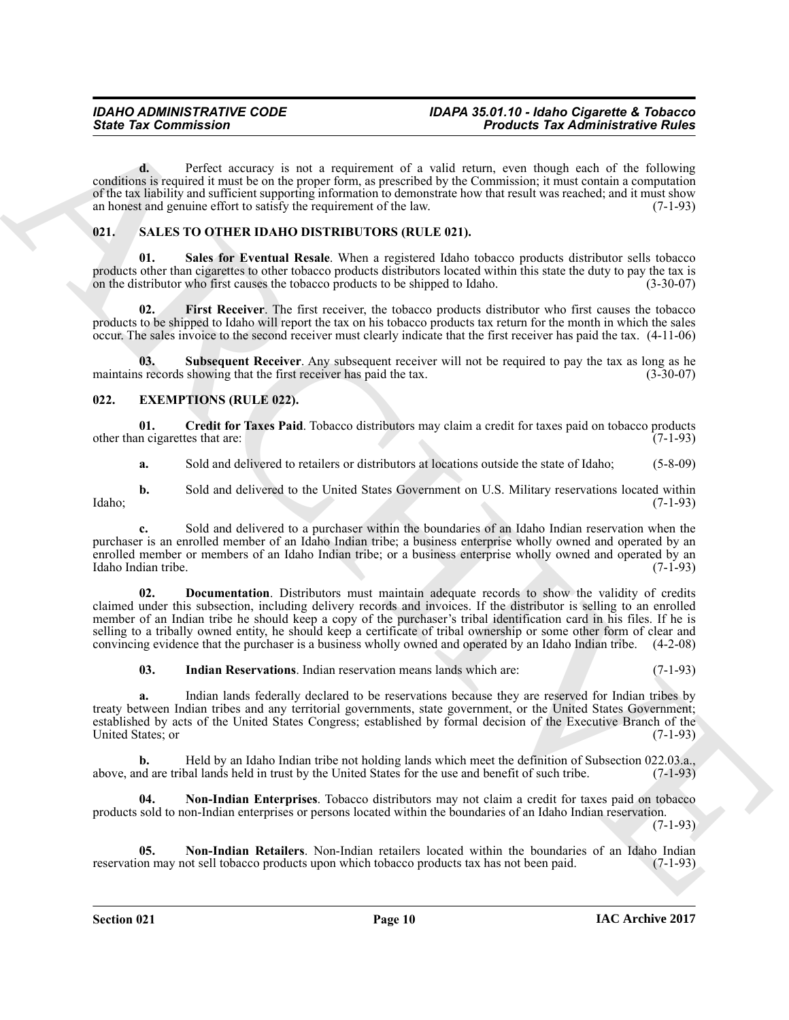**d.** Perfect accuracy is not a requirement of a valid return, even though each of the following conditions is required it must be on the proper form, as prescribed by the Commission; it must contain a computation of the tax liability and sufficient supporting information to demonstrate how that result was reached; and it must show an honest and genuine effort to satisfy the requirement of the law. (7-1-93)

### <span id="page-9-8"></span><span id="page-9-0"></span>**021. SALES TO OTHER IDAHO DISTRIBUTORS (RULE 021).**

<span id="page-9-10"></span>**Sales for Eventual Resale**. When a registered Idaho tobacco products distributor sells tobacco products other than cigarettes to other tobacco products distributors located within this state the duty to pay the tax is<br>on the distributor who first causes the tobacco products to be shipped to Idaho. (3-30-07) on the distributor who first causes the tobacco products to be shipped to Idaho.

<span id="page-9-9"></span>**02. First Receiver**. The first receiver, the tobacco products distributor who first causes the tobacco products to be shipped to Idaho will report the tax on his tobacco products tax return for the month in which the sales occur. The sales invoice to the second receiver must clearly indicate that the first receiver has paid the tax. (4-11-06)

<span id="page-9-11"></span>**03.** Subsequent Receiver. Any subsequent receiver will not be required to pay the tax as long as he s records showing that the first receiver has paid the tax. (3-30-07) maintains records showing that the first receiver has paid the tax.

### <span id="page-9-2"></span><span id="page-9-1"></span>**022. EXEMPTIONS (RULE 022).**

**01.** Credit for Taxes Paid. Tobacco distributors may claim a credit for taxes paid on tobacco products in cigarettes that are: (7-1-93) other than cigarettes that are:

<span id="page-9-3"></span>**a.** Sold and delivered to retailers or distributors at locations outside the state of Idaho; (5-8-09)

**b.** Sold and delivered to the United States Government on U.S. Military reservations located within (7-1-93) Idaho; (7-1-93)

**c.** Sold and delivered to a purchaser within the boundaries of an Idaho Indian reservation when the purchaser is an enrolled member of an Idaho Indian tribe; a business enterprise wholly owned and operated by an enrolled member or members of an Idaho Indian tribe; or a business enterprise wholly owned and operated by an Idaho Indian tribe. (7-1-93) Idaho Indian tribe.

Since Tax Commission<br>
Control in Victor Actual State and a requirement of a valid reduction of a since when the system of the since the system of the since the system of the since the system of the since the system of the **02. Documentation**. Distributors must maintain adequate records to show the validity of credits claimed under this subsection, including delivery records and invoices. If the distributor is selling to an enrolled member of an Indian tribe he should keep a copy of the purchaser's tribal identification card in his files. If he is selling to a tribally owned entity, he should keep a certificate of tribal ownership or some other form of clear and convincing evidence that the purchaser is a business wholly owned and operated by an Idaho Indian tribe. (4-2-08)

<span id="page-9-5"></span><span id="page-9-4"></span>**03. Indian Reservations**. Indian reservation means lands which are: (7-1-93)

**a.** Indian lands federally declared to be reservations because they are reserved for Indian tribes by treaty between Indian tribes and any territorial governments, state government, or the United States Government; established by acts of the United States Congress; established by formal decision of the Executive Branch of the United States; or

**b.** Held by an Idaho Indian tribe not holding lands which meet the definition of Subsection 022.03.a., above, and are tribal lands held in trust by the United States for the use and benefit of such tribe.

<span id="page-9-6"></span>**04. Non-Indian Enterprises**. Tobacco distributors may not claim a credit for taxes paid on tobacco products sold to non-Indian enterprises or persons located within the boundaries of an Idaho Indian reservation.

(7-1-93)

<span id="page-9-7"></span>**05. Non-Indian Retailers**. Non-Indian retailers located within the boundaries of an Idaho Indian on may not sell tobacco products upon which tobacco products tax has not been paid. (7-1-93) reservation may not sell tobacco products upon which tobacco products tax has not been paid.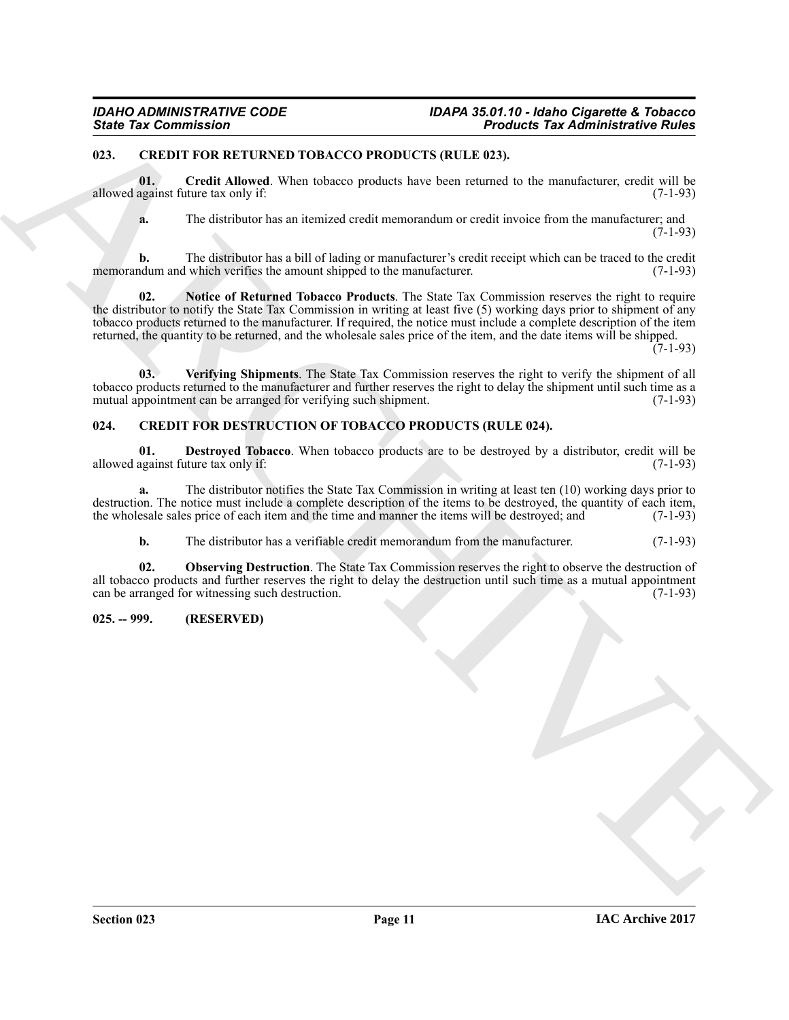#### <span id="page-10-6"></span><span id="page-10-0"></span>**023. CREDIT FOR RETURNED TOBACCO PRODUCTS (RULE 023).**

**01. Credit Allowed**. When tobacco products have been returned to the manufacturer, credit will be allowed against future tax only if: (7-1-93)

<span id="page-10-8"></span><span id="page-10-7"></span>**a.** The distributor has an itemized credit memorandum or credit invoice from the manufacturer; and (7-1-93)

**b.** The distributor has a bill of lading or manufacturer's credit receipt which can be traced to the credit memorandum and which verifies the amount shipped to the manufacturer. (7-1-93)

Since Tax Commission<br>
17. CAND I POPA REPORT OF THE MANUAL CONTINUES IN A SIMULATION CONTINUES IN A SIMULATION CONTINUES IN A SIMULATION CONTINUES IN A SIMULATION CONTINUES IN A SIMULATION OF THE CONTINUES IN A SIMUlATION **02. Notice of Returned Tobacco Products**. The State Tax Commission reserves the right to require the distributor to notify the State Tax Commission in writing at least five (5) working days prior to shipment of any tobacco products returned to the manufacturer. If required, the notice must include a complete description of the item returned, the quantity to be returned, and the wholesale sales price of the item, and the date items will be shipped.

 $(7-1-93)$ 

<span id="page-10-9"></span>**03. Verifying Shipments**. The State Tax Commission reserves the right to verify the shipment of all tobacco products returned to the manufacturer and further reserves the right to delay the shipment until such time as a mutual appointment can be arranged for verifying such shipment.

### <span id="page-10-3"></span><span id="page-10-1"></span>**024. CREDIT FOR DESTRUCTION OF TOBACCO PRODUCTS (RULE 024).**

<span id="page-10-4"></span>**01. Destroyed Tobacco**. When tobacco products are to be destroyed by a distributor, credit will be allowed against future tax only if: (7-1-93)

**a.** The distributor notifies the State Tax Commission in writing at least ten (10) working days prior to destruction. The notice must include a complete description of the items to be destroyed, the quantity of each item, the wholesale sales price of each item and the time and manner the items will be destroyed; and (7-1-93) the wholesale sales price of each item and the time and manner the items will be destroyed; and

<span id="page-10-5"></span>**b.** The distributor has a verifiable credit memorandum from the manufacturer. (7-1-93)

**02. Observing Destruction**. The State Tax Commission reserves the right to observe the destruction of all tobacco products and further reserves the right to delay the destruction until such time as a mutual appointment can be arranged for witnessing such destruction. (7-1-93) can be arranged for witnessing such destruction.

#### <span id="page-10-2"></span>**025. -- 999. (RESERVED)**